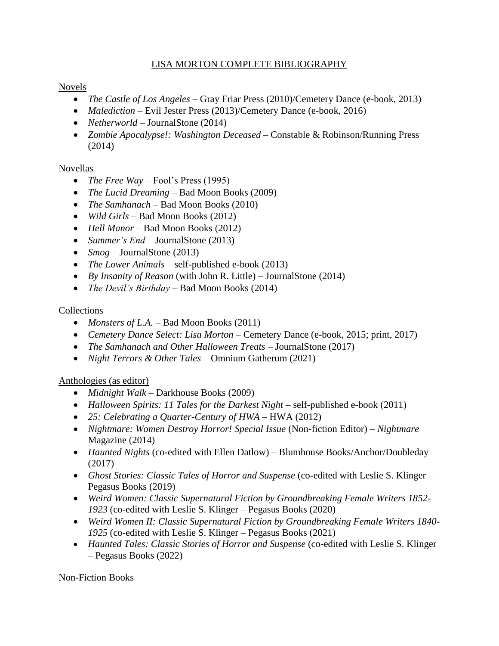### LISA MORTON COMPLETE BIBLIOGRAPHY

### Novels

- *The Castle of Los Angeles* Gray Friar Press (2010)/Cemetery Dance (e-book, 2013)
- *Malediction* Evil Jester Press (2013)/Cemetery Dance (e-book, 2016)
- *Netherworld* JournalStone (2014)
- *Zombie Apocalypse!: Washington Deceased* Constable & Robinson/Running Press (2014)

# Novellas

- *The Free Way Fool's Press (1995)*
- *The Lucid Dreaming* Bad Moon Books (2009)
- *The Samhanach* Bad Moon Books (2010)
- *Wild Girls* Bad Moon Books (2012)
- *Hell Manor* Bad Moon Books (2012)
- *Summer's End JournalStone (2013)*
- *Smog* JournalStone (2013)
- *The Lower Animals* self-published e-book (2013)
- *By Insanity of Reason* (with John R. Little) JournalStone (2014)
- *The Devil's Birthday* Bad Moon Books (2014)

### Collections

- *Monsters of L.A.* Bad Moon Books (2011)
- *Cemetery Dance Select: Lisa Morton* Cemetery Dance (e-book, 2015; print, 2017)
- *The Samhanach and Other Halloween Treats JournalStone (2017)*
- *Night Terrors & Other Tales –* Omnium Gatherum (2021)

# Anthologies (as editor)

- *Midnight Walk*  Darkhouse Books (2009)
- Halloween Spirits: 11 Tales for the Darkest Night self-published e-book (2011)
- *25: Celebrating a Quarter-Century of HWA* HWA (2012)
- *Nightmare: Women Destroy Horror! Special Issue* (Non-fiction Editor) *Nightmare* Magazine (2014)
- *Haunted Nights* (co-edited with Ellen Datlow) Blumhouse Books/Anchor/Doubleday (2017)
- Ghost Stories: Classic Tales of Horror and Suspense (co-edited with Leslie S. Klinger Pegasus Books (2019)
- *Weird Women: Classic Supernatural Fiction by Groundbreaking Female Writers 1852- 1923* (co-edited with Leslie S. Klinger – Pegasus Books (2020)
- *Weird Women II: Classic Supernatural Fiction by Groundbreaking Female Writers 1840- 1925* (co-edited with Leslie S. Klinger – Pegasus Books (2021)
- Haunted Tales: Classic Stories of Horror and Suspense (co-edited with Leslie S. Klinger – Pegasus Books (2022)

# Non-Fiction Books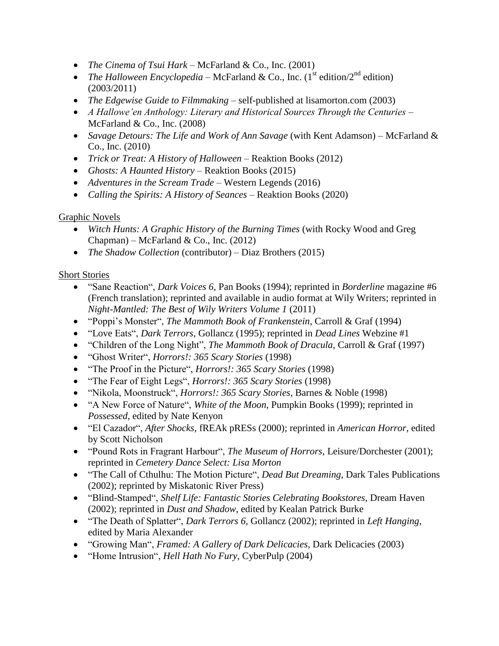- *The Cinema of Tsui Hark* McFarland & Co., Inc. (2001)
- *The Halloween Encyclopedia* McFarland & Co., Inc.  $(1<sup>st</sup>$  edition) and edition (2003/2011)
- *The Edgewise Guide to Filmmaking* self-published at lisamorton.com (2003)
- *A Hallowe'en Anthology: Literary and Historical Sources Through the Centuries* McFarland & Co., Inc. (2008)
- *Savage Detours: The Life and Work of Ann Savage* (with Kent Adamson) McFarland & Co., Inc. (2010)
- *Trick or Treat: A History of Halloween* Reaktion Books (2012)
- Ghosts: A Haunted History Reaktion Books (2015)
- *Adventures in the Scream Trade –* Western Legends (2016)
- *Calling the Spirits: A History of Seances* Reaktion Books (2020)

#### Graphic Novels

- *Witch Hunts: A Graphic History of the Burning Times* (with Rocky Wood and Greg Chapman) – McFarland & Co., Inc.  $(2012)$
- *The Shadow Collection* (contributor) Diaz Brothers (2015)

### Short Stories

- "Sane Reaction", *Dark Voices 6*, Pan Books (1994); reprinted in *Borderline* magazine #6 (French translation); reprinted and available in audio format at Wily Writers; reprinted in *Night-Mantled: The Best of Wily Writers Volume 1* (2011)
- "Poppi's Monster", *The Mammoth Book of Frankenstein*, Carroll & Graf (1994)
- "Love Eats", *Dark Terrors*, Gollancz (1995); reprinted in *Dead Lines* Webzine #1
- "Children of the Long Night", *The Mammoth Book of Dracula*, Carroll & Graf (1997)
- "Ghost Writer", *Horrors!: 365 Scary Stories* (1998)
- "The Proof in the Picture", *Horrors!: 365 Scary Stories* (1998)
- "The Fear of Eight Legs", *Horrors!: 365 Scary Stories* (1998)
- "Nikola, Moonstruck", *Horrors!: 365 Scary Stories*, Barnes & Noble (1998)
- "A New Force of Nature", *White of the Moon*, Pumpkin Books (1999); reprinted in *Possessed*, edited by Nate Kenyon
- "El Cazador", *After Shocks*, fREAk pRESs (2000); reprinted in *American Horror*, edited by Scott Nicholson
- "Pound Rots in Fragrant Harbour", *The Museum of Horrors*, Leisure/Dorchester (2001); reprinted in *Cemetery Dance Select: Lisa Morton*
- "The Call of Cthulhu: The Motion Picture", *Dead But Dreaming*, Dark Tales Publications (2002); reprinted by Miskatonic River Press)
- "Blind-Stamped", *Shelf Life: Fantastic Stories Celebrating Bookstores*, Dream Haven (2002); reprinted in *Dust and Shadow*, edited by Kealan Patrick Burke
- "The Death of Splatter", *Dark Terrors 6,* Gollancz (2002); reprinted in *Left Hanging*, edited by Maria Alexander
- "Growing Man", *Framed: A Gallery of Dark Delicacies*, Dark Delicacies (2003)
- "Home Intrusion", *Hell Hath No Fury*, CyberPulp (2004)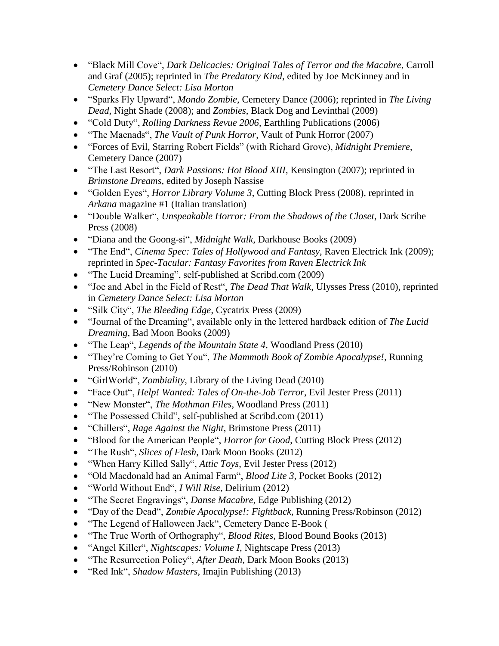- "Black Mill Cove", *Dark Delicacies: Original Tales of Terror and the Macabre*, Carroll and Graf (2005); reprinted in *The Predatory Kind*, edited by Joe McKinney and in *Cemetery Dance Select: Lisa Morton*
- "Sparks Fly Upward", *Mondo Zombie*, Cemetery Dance (2006); reprinted in *The Living Dead*, Night Shade (2008); and *Zombies*, Black Dog and Levinthal (2009)
- "Cold Duty", *Rolling Darkness Revue 2006*, Earthling Publications (2006)
- "The Maenads", *The Vault of Punk Horror*, Vault of Punk Horror (2007)
- "Forces of Evil, Starring Robert Fields" (with Richard Grove), *Midnight Premiere*, Cemetery Dance (2007)
- "The Last Resort", *Dark Passions: Hot Blood XIII*, Kensington (2007); reprinted in *Brimstone Dreams*, edited by Joseph Nassise
- "Golden Eyes", *Horror Library Volume 3*, Cutting Block Press (2008), reprinted in *Arkana* magazine #1 (Italian translation)
- "Double Walker", *Unspeakable Horror: From the Shadows of the Closet*, Dark Scribe Press (2008)
- "Diana and the Goong-si", *Midnight Walk*, Darkhouse Books (2009)
- "The End", *Cinema Spec: Tales of Hollywood and Fantasy*, Raven Electrick Ink (2009); reprinted in *Spec-Tacular: Fantasy Favorites from Raven Electrick Ink*
- "The Lucid Dreaming", self-published at Scribd.com (2009)
- "Joe and Abel in the Field of Rest", *The Dead That Walk*, Ulysses Press (2010), reprinted in *Cemetery Dance Select: Lisa Morton*
- "Silk City", *The Bleeding Edge*, Cycatrix Press (2009)
- "Journal of the Dreaming", available only in the lettered hardback edition of *The Lucid Dreaming*, Bad Moon Books (2009)
- "The Leap", *Legends of the Mountain State 4*, Woodland Press (2010)
- "They're Coming to Get You", *The Mammoth Book of Zombie Apocalypse!*, Running Press/Robinson (2010)
- "GirlWorld", *Zombiality*, Library of the Living Dead (2010)
- "Face Out", *Help! Wanted: Tales of On-the-Job Terror*, Evil Jester Press (2011)
- "New Monster", *The Mothman Files*, Woodland Press (2011)
- "The Possessed Child", self-published at Scribd.com (2011)
- "Chillers", *Rage Against the Night*, Brimstone Press (2011)
- "Blood for the American People", *Horror for Good*, Cutting Block Press (2012)
- "The Rush", *Slices of Flesh*, Dark Moon Books (2012)
- "When Harry Killed Sally", *Attic Toys*, Evil Jester Press (2012)
- "Old Macdonald had an Animal Farm", *Blood Lite 3*, Pocket Books (2012)
- "World Without End", *I Will Rise*, Delirium (2012)
- "The Secret Engravings", *Danse Macabre*, Edge Publishing (2012)
- "Day of the Dead", *Zombie Apocalypse!: Fightback*, Running Press/Robinson (2012)
- "The Legend of Halloween Jack", Cemetery Dance E-Book (
- "The True Worth of Orthography", *Blood Rites*, Blood Bound Books (2013)
- "Angel Killer", *Nightscapes: Volume I*, Nightscape Press (2013)
- "The Resurrection Policy", *After Death*, Dark Moon Books (2013)
- "Red Ink", *Shadow Masters*, Imajin Publishing (2013)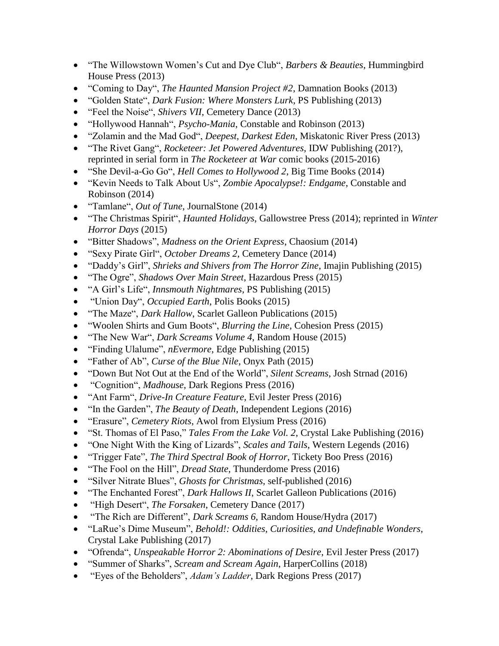- "The Willowstown Women's Cut and Dye Club", *Barbers & Beauties*, Hummingbird House Press (2013)
- "Coming to Day", *The Haunted Mansion Project #2*, Damnation Books (2013)
- "Golden State", *Dark Fusion: Where Monsters Lurk*, PS Publishing (2013)
- "Feel the Noise", *Shivers VII*, Cemetery Dance (2013)
- "Hollywood Hannah", *Psycho-Mania*, Constable and Robinson (2013)
- "Zolamin and the Mad God", *Deepest, Darkest Eden*, Miskatonic River Press (2013)
- "The Rivet Gang", *Rocketeer: Jet Powered Adventures*, IDW Publishing (201?), reprinted in serial form in *The Rocketeer at War* comic books (2015-2016)
- "She Devil-a-Go Go", *Hell Comes to Hollywood 2*, Big Time Books (2014)
- "Kevin Needs to Talk About Us", *Zombie Apocalypse!: Endgame*, Constable and Robinson (2014)
- "Tamlane", *Out of Tune*, JournalStone (2014)
- "The Christmas Spirit", *Haunted Holidays*, Gallowstree Press (2014); reprinted in *Winter Horror Days* (2015)
- "Bitter Shadows", *Madness on the Orient Express*, Chaosium (2014)
- "Sexy Pirate Girl", *October Dreams 2*, Cemetery Dance (2014)
- "Daddy's Girl", *Shrieks and Shivers from The Horror Zine*, Imajin Publishing (2015)
- "The Ogre", *Shadows Over Main Street*, Hazardous Press (2015)
- "A Girl's Life", *Innsmouth Nightmares*, PS Publishing (2015)
- "Union Day", *Occupied Earth*, Polis Books (2015)
- "The Maze", *Dark Hallow*, Scarlet Galleon Publications (2015)
- "Woolen Shirts and Gum Boots", *Blurring the Line*, Cohesion Press (2015)
- "The New War", *Dark Screams Volume 4*, Random House (2015)
- "Finding Ulalume", *nEvermore*, Edge Publishing (2015)
- "Father of Ab", *Curse of the Blue Nile*, Onyx Path (2015)
- "Down But Not Out at the End of the World", *Silent Screams*, Josh Strnad (2016)
- "Cognition", *Madhouse*, Dark Regions Press (2016)
- "Ant Farm", *Drive-In Creature Feature*, Evil Jester Press (2016)
- "In the Garden", *The Beauty of Death*, Independent Legions (2016)
- "Erasure", *Cemetery Riots*, Awol from Elysium Press (2016)
- "St. Thomas of El Paso," *Tales From the Lake Vol. 2*, Crystal Lake Publishing (2016)
- "One Night With the King of Lizards", *Scales and Tails*, Western Legends (2016)
- "Trigger Fate", *The Third Spectral Book of Horror*, Tickety Boo Press (2016)
- "The Fool on the Hill", *Dread State*, Thunderdome Press (2016)
- "Silver Nitrate Blues", *Ghosts for Christmas*, self-published (2016)
- "The Enchanted Forest", *Dark Hallows II*, Scarlet Galleon Publications (2016)
- "High Desert", *The Forsaken*, Cemetery Dance (2017)
- "The Rich are Different", *Dark Screams 6*, Random House/Hydra (2017)
- "LaRue's Dime Museum", *Behold!: Oddities, Curiosities, and Undefinable Wonders*, Crystal Lake Publishing (2017)
- "Ofrenda", *Unspeakable Horror 2: Abominations of Desire*, Evil Jester Press (2017)
- "Summer of Sharks", *Scream and Scream Again*, HarperCollins (2018)
- "Eyes of the Beholders", *Adam's Ladder*, Dark Regions Press (2017)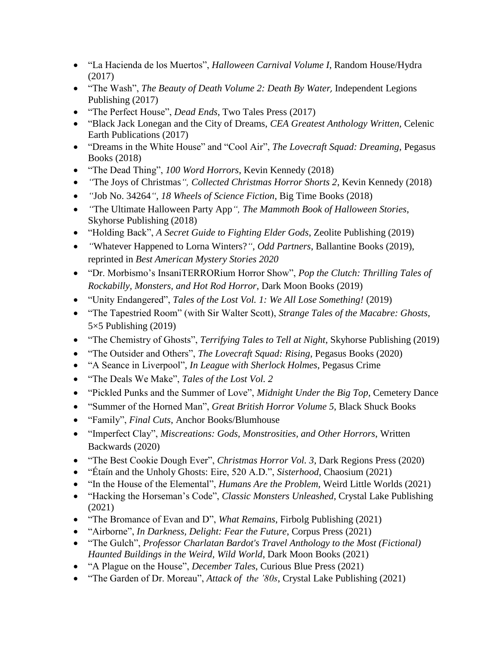- "La Hacienda de los Muertos", *Halloween Carnival Volume I*, Random House/Hydra (2017)
- "The Wash", *The Beauty of Death Volume 2: Death By Water,* Independent Legions Publishing (2017)
- "The Perfect House", *Dead Ends*, Two Tales Press (2017)
- "Black Jack Lonegan and the City of Dreams, *CEA Greatest Anthology Written,* Celenic Earth Publications (2017)
- "Dreams in the White House" and "Cool Air", *The Lovecraft Squad: Dreaming*, Pegasus Books (2018)
- "The Dead Thing", *100 Word Horrors*, Kevin Kennedy (2018)
- *"*The Joys of Christmas*", [Collected Christmas Horror Shorts 2](https://www.amazon.com/Collected-Christmas-Horror-Shorts/dp/1726663027/ref=sr_1_1?keywords=collected+christmas+horror+2&qid=1558739228&s=books&sr=1-1)*, Kevin Kennedy (2018)
- *"*Job No. 34264*"*, *[18 Wheels of Science Fiction](https://www.amazon.com/18-Wheels-Science-Fiction-Fantastic/dp/099068668X/ref=sr_1_1?keywords=18+wheels+of+science+fiction&qid=1558741156&s=books&sr=1-1)*, Big Time Books (2018)
- *"*The Ultimate Halloween Party App*", [The Mammoth Book of Halloween Stories](https://www.amazon.com/Mammoth-Book-Halloween-Stories-Terrifying/dp/1510736433/ref=sr_1_1?keywords=mammoth+book+of+halloween+stories&qid=1558741401&s=books&sr=1-1)*, Skyhorse Publishing (2018)
- "Holding Back", *[A Secret Guide to Fighting Elder Gods](https://www.amazon.com/Secret-Guide-Fighting-Elder-Gods/dp/195070100X/ref=sr_1_1?keywords=secret+guide+to+fighting+elder+gods&qid=1558738780&s=books&sr=1-1)*, Zeolite Publishing (2019)
- *"*Whatever Happened to Lorna Winters?*"*, *[Odd Partners](https://www.amazon.com/Odd-Partners-Mystery-Writers-America/dp/1524799351/ref=sr_1_1?keywords=odd+partners&qid=1558738814&s=books&sr=1-1)*, Ballantine Books (2019), reprinted in *[Best American Mystery Stories 2020](https://bookshop.org/books/the-best-american-mystery-stories-2020-9780358394846/9781328636102)*
- "Dr. Morbismo's InsaniTERRORium Horror Show", *[Pop the Clutch: Thrilling Tales of](https://www.amazon.com/Pop-Clutch-Thrilling-Rockabilly-Monsters/dp/1949491013/ref=sr_1_1?keywords=pop+the+clutch+thrilling+tales&qid=1558738849&s=books&sr=1-1)  [Rockabilly, Monsters, and Hot Rod Horror](https://www.amazon.com/Pop-Clutch-Thrilling-Rockabilly-Monsters/dp/1949491013/ref=sr_1_1?keywords=pop+the+clutch+thrilling+tales&qid=1558738849&s=books&sr=1-1)*, Dark Moon Books (2019)
- "Unity Endangered", *Tales of the Lost Vol. 1: We All Lose Something!* (2019)
- "The Tapestried Room" (with Sir Walter Scott), *[Strange Tales of the Macabre: Ghosts](https://www.amazon.com/dp/B07VXZXFBM/ref=sr_1_7?keywords=strange+tales+of+the+macabre&qid=1565397882&s=gateway&sr=8-7)*, 5×5 Publishing (2019)
- "The Chemistry of Ghosts", *[Terrifying Tales to Tell at Night](https://www.amazon.com/Terrifying-Tales-Tell-Night-Nightmares/dp/1510751246/ref=sr_1_1?keywords=terrifying+tales+to+tell+at+night&qid=1558738492&s=gateway&sr=8-1)*, Skyhorse Publishing (2019)
- "The Outsider and Others", *The Lovecraft Squad: Rising*, Pegasus Books (2020)
- "A Seance in Liverpool", *In League with Sherlock Holmes*, Pegasus Crime
- "The Deals We Make", *Tales of the Lost Vol. 2*
- "Pickled Punks and the Summer of Love", *Midnight Under the Big Top*, Cemetery Dance
- "Summer of the Horned Man", *Great British Horror Volume 5*, Black Shuck Books
- "Family", *Final Cuts*, Anchor Books/Blumhouse
- "Imperfect Clay", *Miscreations: Gods, Monstrosities, and Other Horrors*, Written Backwards (2020)
- "The Best Cookie Dough Ever", *Christmas Horror Vol. 3*, Dark Regions Press (2020)
- "Étaín and the Unholy Ghosts: Eire, 520 A.D.", *Sisterhood*, Chaosium (2021)
- "In the House of the Elemental", *Humans Are the Problem,* Weird Little Worlds (2021)
- "Hacking the Horseman's Code", *Classic Monsters Unleashed*, Crystal Lake Publishing (2021)
- "The Bromance of Evan and D", *What Remains*, Firbolg Publishing (2021)
- "Airborne", *In Darkness, Delight: Fear the Future*, Corpus Press (2021)
- "The Gulch", *Professor Charlatan Bardot's Travel Anthology to the Most (Fictional) Haunted Buildings in the Weird, Wild World*, Dark Moon Books (2021)
- "A Plague on the House", *December Tales*, Curious Blue Press (2021)
- "The Garden of Dr. Moreau", *Attack of the '80s*, Crystal Lake Publishing (2021)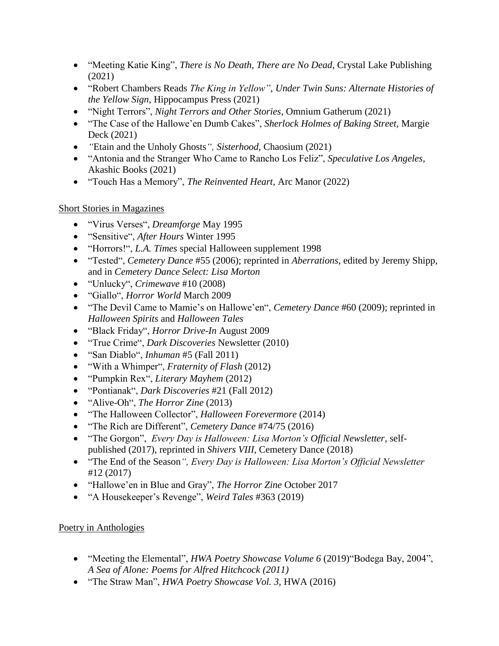- "Meeting Katie King", *There is No Death, There are No Dead*, Crystal Lake Publishing (2021)
- "Robert Chambers Reads *The King in Yellow"*, *Under Twin Suns: Alternate Histories of the Yellow Sign*, Hippocampus Press (2021)
- "Night Terrors", *Night Terrors and Other Stories*, Omnium Gatherum (2021)
- "The Case of the Hallowe'en Dumb Cakes", *Sherlock Holmes of Baking Street,* Margie Deck (2021)
- *"*Etain and the Unholy Ghosts*", Sisterhood*, Chaosium (2021)
- "Antonia and the Stranger Who Came to Rancho Los Feliz", *Speculative Los Angeles,*  Akashic Books (2021)
- "Touch Has a Memory", *[The Reinvented Heart,](https://www.amazon.com/s?k=9781647100421&ref=nb_sb_noss)* Arc Manor (2022)

# Short Stories in Magazines

- "Virus Verses", *Dreamforge* May 1995
- "Sensitive", *After Hours* Winter 1995
- "Horrors!", *L.A. Times* special Halloween supplement 1998
- "Tested", *Cemetery Dance* #55 (2006); reprinted in *Aberrations*, edited by Jeremy Shipp, and in *Cemetery Dance Select: Lisa Morton*
- "Unlucky", *Crimewave* #10 (2008)
- "Giallo", *Horror World* March 2009
- "The Devil Came to Mamie's on Hallowe'en", *Cemetery Dance* #60 (2009); reprinted in *Halloween Spirits* and *Halloween Tales*
- "Black Friday", *Horror Drive-In* August 2009
- "True Crime", *Dark Discoveries* Newsletter (2010)
- "San Diablo", *Inhuman* #5 (Fall 2011)
- "With a Whimper", *Fraternity of Flash* (2012)
- "Pumpkin Rex", *Literary Mayhem* (2012)
- "Pontianak", *Dark Discoveries* #21 (Fall 2012)
- "Alive-Oh", *The Horror Zine* (2013)
- "The Halloween Collector", *Halloween Forevermore* (2014)
- "The Rich are Different", *Cemetery Dance* #74/75 (2016)
- "The Gorgon", *Every Day is Halloween: Lisa Morton's Official Newsletter*, selfpublished (2017), reprinted in *Shivers VIII,* Cemetery Dance (2018)
- "The End of the Season*", Every Day is Halloween: Lisa Morton's Official Newsletter* #12 (2017)
- "Hallowe'en in Blue and Gray", *The Horror Zine* October 2017
- "A Housekeeper's Revenge", *Weird Tales* #363 (2019)

# Poetry in Anthologies

- "Meeting the Elemental", *HWA Poetry Showcase Volume 6* (2019)"Bodega Bay, 2004", *A Sea of Alone: Poems for Alfred Hitchcock (2011)*
- "The Straw Man", *HWA Poetry Showcase Vol. 3,* HWA (2016)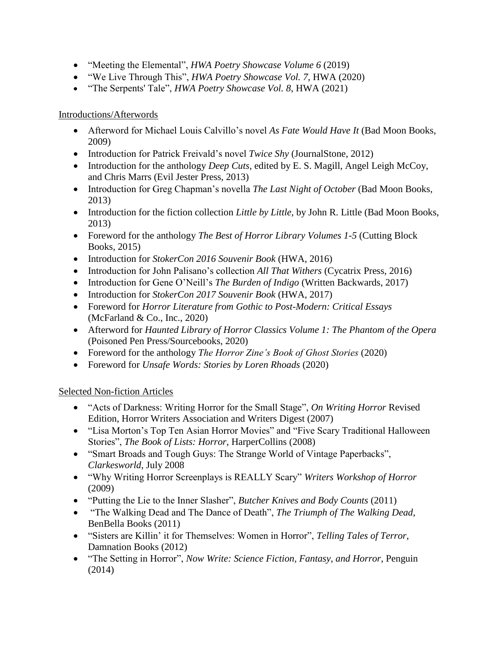- "Meeting the Elemental", *HWA Poetry Showcase Volume 6* (2019)
- "We Live Through This", *HWA Poetry Showcase Vol. 7,* HWA (2020)
- "The Serpents' Tale", *HWA Poetry Showcase Vol. 8*, HWA (2021)

#### Introductions/Afterwords

- Afterword for Michael Louis Calvillo's novel *As Fate Would Have It* (Bad Moon Books, 2009)
- Introduction for Patrick Freivald's novel *Twice Shy* (JournalStone, 2012)
- Introduction for the anthology *Deep Cuts*, edited by E. S. Magill, Angel Leigh McCoy, and Chris Marrs (Evil Jester Press, 2013)
- Introduction for Greg Chapman's novella *The Last Night of October* (Bad Moon Books, 2013)
- Introduction for the fiction collection *Little by Little*, by John R. Little (Bad Moon Books, 2013)
- Foreword for the anthology *The Best of Horror Library Volumes 1-5* (Cutting Block Books, 2015)
- Introduction for *StokerCon 2016 Souvenir Book* (HWA, 2016)
- Introduction for John Palisano's collection *All That Withers* (Cycatrix Press, 2016)
- Introduction for Gene O'Neill's *The Burden of Indigo* (Written Backwards, 2017)
- Introduction for *StokerCon 2017 Souvenir Book* (HWA, 2017)
- Foreword for *Horror Literature from Gothic to Post-Modern: Critical Essays* (McFarland & Co., Inc., 2020)
- Afterword for *Haunted Library of Horror Classics Volume 1: The Phantom of the Opera* (Poisoned Pen Press/Sourcebooks, 2020)
- Foreword for the anthology *The Horror Zine's Book of Ghost Stories* (2020)
- Foreword for *Unsafe Words: Stories by Loren Rhoads* (2020)

#### Selected Non-fiction Articles

- "Acts of Darkness: Writing Horror for the Small Stage", *On Writing Horror* Revised Edition, Horror Writers Association and Writers Digest (2007)
- "Lisa Morton's Top Ten Asian Horror Movies" and "Five Scary Traditional Halloween Stories", *The Book of Lists: Horror*, HarperCollins (2008)
- "Smart Broads and Tough Guys: The Strange World of Vintage Paperbacks", *Clarkesworld*, July 2008
- "Why Writing Horror Screenplays is REALLY Scary" *Writers Workshop of Horror* (2009)
- "Putting the Lie to the Inner Slasher", *Butcher Knives and Body Counts* (2011)
- "The Walking Dead and The Dance of Death", *The Triumph of The Walking Dead*, BenBella Books (2011)
- "Sisters are Killin' it for Themselves: Women in Horror", *Telling Tales of Terror*, Damnation Books (2012)
- "The Setting in Horror", *Now Write: Science Fiction, Fantasy, and Horror*, Penguin (2014)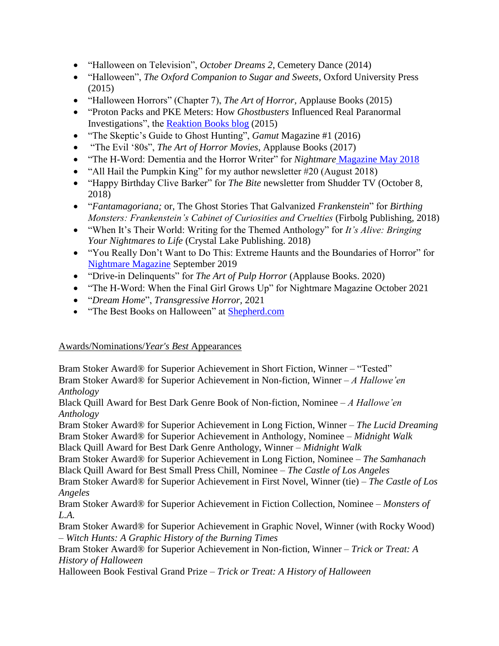- "Halloween on Television", *October Dreams 2*, Cemetery Dance (2014)
- "Halloween", *The Oxford Companion to Sugar and Sweets*, Oxford University Press (2015)
- "Halloween Horrors" (Chapter 7), *The Art of Horror,* Applause Books (2015)
- "Proton Packs and PKE Meters: How *Ghostbusters* Influenced Real Paranormal Investigations", the [Reaktion Books blog](http://www.reaktionbooks.co.uk/browse/article_detail/Proton_Packs_and_PKE_Meters) (2015)
- "The Skeptic's Guide to Ghost Hunting", *Gamut* Magazine #1 (2016)
- "The Evil '80s", *The Art of Horror Movies*, Applause Books (2017)
- "The H-Word: Dementia and the Horror Writer" for *Nightmare* [Magazine May 2018](https://www.nightmare-magazine.com/nonfiction/the-h-word-dementia-and-the-writer/)
- "All Hail the Pumpkin King" for my author newsletter  $\#20$  (August 2018)
- "Happy Birthday Clive Barker" for *The Bite* newsletter from Shudder TV (October 8, 2018)
- "*Fantamagoriana;* or, The Ghost Stories That Galvanized *Frankenstein*" for *Birthing Monsters: Frankenstein's Cabinet of Curiosities and Cruelties* (Firbolg Publishing, 2018)
- "When It's Their World: Writing for the Themed Anthology" for *It's Alive: Bringing Your Nightmares to Life* (Crystal Lake Publishing. 2018)
- "You Really Don't Want to Do This: Extreme Haunts and the Boundaries of Horror" for [Nightmare Magazine](http://www.nightmare-magazine.com/nonfiction/the-h-word-you-really-dont-want-to-do-this/) September 2019
- "Drive-in Delinquents" for *The Art of Pulp Horror* (Applause Books. 2020)
- "The H-Word: When the Final Girl Grows Up" for Nightmare Magazine October 2021
- "*Dream Home*", *Transgressive Horror,* 2021
- "The Best Books on Halloween" at [Shepherd.com](https://shepherd.com/best-books/halloween)

#### Awards/Nominations/*Year's Best* Appearances

Bram Stoker Award® for Superior Achievement in Short Fiction, Winner – "Tested" Bram Stoker Award® for Superior Achievement in Non-fiction, Winner – *A Hallowe'en Anthology*

Black Quill Award for Best Dark Genre Book of Non-fiction, Nominee – *A Hallowe'en Anthology*

Bram Stoker Award® for Superior Achievement in Long Fiction, Winner – *The Lucid Dreaming* Bram Stoker Award® for Superior Achievement in Anthology, Nominee – *Midnight Walk*

Black Quill Award for Best Dark Genre Anthology, Winner – *Midnight Walk*

Bram Stoker Award® for Superior Achievement in Long Fiction, Nominee – *The Samhanach* Black Quill Award for Best Small Press Chill, Nominee – *The Castle of Los Angeles*

Bram Stoker Award® for Superior Achievement in First Novel, Winner (tie) – *The Castle of Los Angeles*

Bram Stoker Award® for Superior Achievement in Fiction Collection, Nominee – *Monsters of L.A.*

Bram Stoker Award® for Superior Achievement in Graphic Novel, Winner (with Rocky Wood) – *Witch Hunts: A Graphic History of the Burning Times*

Bram Stoker Award® for Superior Achievement in Non-fiction, Winner – *Trick or Treat: A History of Halloween*

Halloween Book Festival Grand Prize – *Trick or Treat: A History of Halloween*